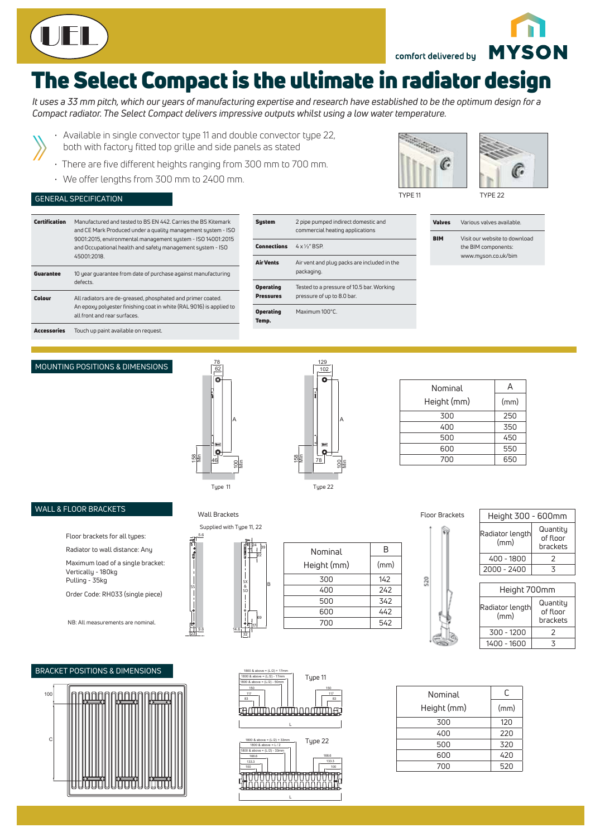

comfort delivered by

# The Select Compact is the ultimate in radiator design

*It uses a 33 mm pitch, which our years of manufacturing expertise and research have established to be the optimum design for a Compact radiator. The Select Compact delivers impressive outputs whilst using a low water temperature.* 

- Available in single convector type 11 and double convector type 22, both with factory fitted top grille and side panels as stated
- There are five different heights ranging from 300 mm to 700 mm.
- We offer lengths from 300 mm to 2400 mm.

### GENERAL SPECIFICATION



TYPE 11 TYPE 22



**MYSON** 

| Certification      | Manufactured and tested to BS EN 442. Carries the BS Kitemark<br>and CE Mark Produced under a quality management system - ISO<br>9001:2015, environmental management system - ISO 14001:2015<br>and Occupational health and safety management system - ISO<br>45001:2018. | <b>System</b>             | 2 pipe pumped indirect domestic and<br>commercial heating applications<br>$4 \times 1/2$ " BSP. |  | <b>Valves</b> | Various valves available.                            |
|--------------------|---------------------------------------------------------------------------------------------------------------------------------------------------------------------------------------------------------------------------------------------------------------------------|---------------------------|-------------------------------------------------------------------------------------------------|--|---------------|------------------------------------------------------|
|                    |                                                                                                                                                                                                                                                                           | <b>Connections</b>        |                                                                                                 |  | <b>BIM</b>    | Visit our website to download<br>the BIM components: |
|                    |                                                                                                                                                                                                                                                                           | <b>Air Vents</b>          | Air vent and plug packs are included in the                                                     |  |               | www.myson.co.uk/bim                                  |
| Guarantee          | 10 year quarantee from date of purchase against manufacturing<br>defects.                                                                                                                                                                                                 |                           | packaging.                                                                                      |  |               |                                                      |
|                    |                                                                                                                                                                                                                                                                           | <b>Operating</b>          | Tested to a pressure of 10.5 bar. Working                                                       |  |               |                                                      |
| <b>Colour</b>      | All radiators are de-greased, phosphated and primer coated.                                                                                                                                                                                                               | <b>Pressures</b>          | pressure of up to 8.0 bar.                                                                      |  |               |                                                      |
|                    | An epoxy polyester finishing coat in white (RAL 9016) is applied to<br>all front and rear surfaces.                                                                                                                                                                       | <b>Operating</b><br>Temp. | Maximum 100°C.                                                                                  |  |               |                                                      |
| <b>Accessories</b> | Touch up paint available on request.                                                                                                                                                                                                                                      |                           |                                                                                                 |  |               |                                                      |

#### MOUNTING POSITIONS & DIMENSIONS





| Nominal     | Д    |  |
|-------------|------|--|
| Height (mm) | (mm) |  |
| 300         | 250  |  |
| 400         | 350  |  |
| 500         | 450  |  |
| 600         | 550  |  |
| 700         | 650  |  |
|             |      |  |

#### WALL & FLOOR BRACKETS

Floor brackets for all types:

Radiator to wall distance: Any

Maximum load of a single bracket: Vertically - 180kg

Pulling - 35kg Order Code: RH033 (single piece)

NB: All measurements are nominal.

#### BRACKET POSITIONS & DIMENSIONS



23 9.6

SS



14.6



| 1800 & above = $(L/2)$ + 17mm<br>1800 & above = (L/2) - 17mm<br>1800 & above = (L/2) - 50mm<br>150<br>117<br>83 | Type 11<br>150<br>117<br>83 |
|-----------------------------------------------------------------------------------------------------------------|-----------------------------|
| L                                                                                                               |                             |
| 1800 & above = (L/2) + 33mm<br>1800 & above $= 1/2$<br>1800 & above = (L/2) - 33mm                              | Type 22                     |
| 166.6<br>133.3<br>100                                                                                           | 166.6<br>133.3<br>100       |
|                                                                                                                 |                             |

L

| <b>Floor Brackets</b> |  |  |  |  |  |
|-----------------------|--|--|--|--|--|
|                       |  |  |  |  |  |
|                       |  |  |  |  |  |

| <b>Wall Brackets</b>                           |             | Floor Brackets | Height 300 - 600mm |                         |                      |
|------------------------------------------------|-------------|----------------|--------------------|-------------------------|----------------------|
| Supplied with Type 11, 22<br>5.6<br><b>Sep</b> |             |                |                    | Radiator length<br>(mm) | Quantity<br>of floor |
| 24<br>39                                       | Nominal     | B              |                    |                         | brackets             |
| 22                                             |             |                |                    | 400 - 1800              |                      |
|                                                | Height (mm) | (mm)           |                    | $2000 - 2400$           |                      |
| <b>SX</b><br>B                                 | 300         | 142            | 520                |                         |                      |
| &<br>SD                                        | 400         | 242            |                    | Height 700mm            |                      |

| 11614116700111111       |                                  |  |  |  |  |  |  |
|-------------------------|----------------------------------|--|--|--|--|--|--|
| Radiator length<br>(mm) | Quantity<br>of floor<br>brackets |  |  |  |  |  |  |
| 300 - 1200              |                                  |  |  |  |  |  |  |
| 1400 - 1600             | ۰                                |  |  |  |  |  |  |

| 0 & above = (L/2) - 50mm                                       |             |      |
|----------------------------------------------------------------|-------------|------|
| 150<br>150<br>117<br>117<br>33<br>83                           | Nominal     |      |
|                                                                | Height (mm) | (mm) |
|                                                                | 300         | 120  |
|                                                                | 400         | 220  |
| 1800 & above = (L/2) + 33mm<br>Type 22<br>1800 & above = $L/2$ | 500         | 320  |
| 0 & above = (L/2) - 33mm<br>166.6<br>166.6                     | 600         | 420  |
| 133.3<br>133.3<br>100<br>100                                   | 700         | 520  |
|                                                                |             |      |